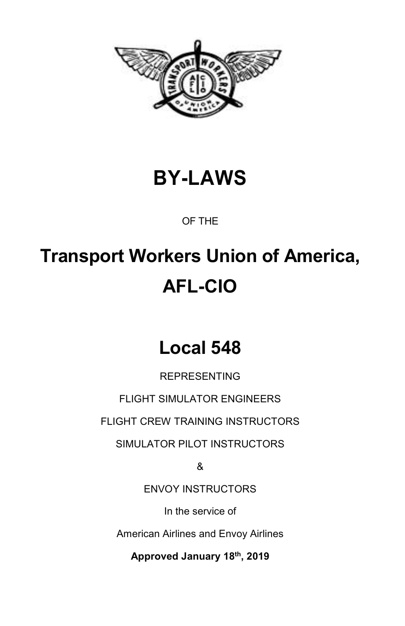

# **BY-LAWS**

OF THE

# **Transport Workers Union of America, AFL-CIO**

# **Local 548**

REPRESENTING

FLIGHT SIMULATOR ENGINEERS

FLIGHT CREW TRAINING INSTRUCTORS

SIMULATOR PILOT INSTRUCTORS

&

ENVOY INSTRUCTORS

In the service of

American Airlines and Envoy Airlines

**Approved January 18th, 2019**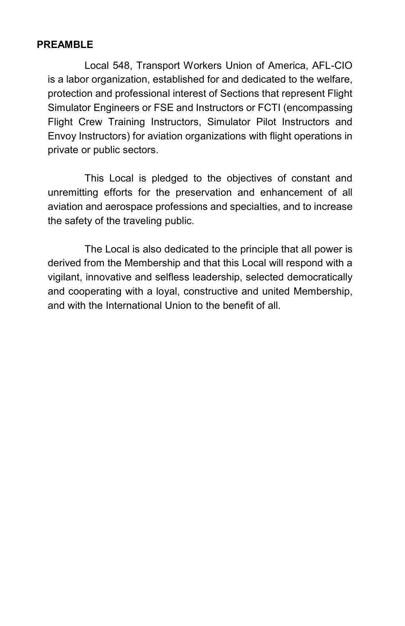#### **PREAMBLE**

Local 548, Transport Workers Union of America, AFL-CIO is a labor organization, established for and dedicated to the welfare, protection and professional interest of Sections that represent Flight Simulator Engineers or FSE and Instructors or FCTI (encompassing Flight Crew Training Instructors, Simulator Pilot Instructors and Envoy Instructors) for aviation organizations with flight operations in private or public sectors.

This Local is pledged to the objectives of constant and unremitting efforts for the preservation and enhancement of all aviation and aerospace professions and specialties, and to increase the safety of the traveling public.

The Local is also dedicated to the principle that all power is derived from the Membership and that this Local will respond with a vigilant, innovative and selfless leadership, selected democratically and cooperating with a loyal, constructive and united Membership, and with the International Union to the benefit of all.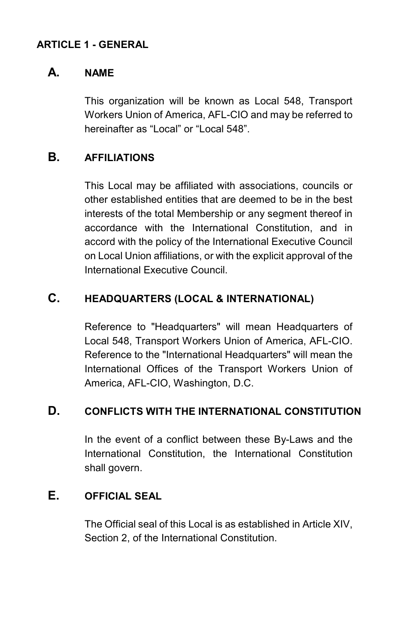#### **ARTICLE 1 - GENERAL**

#### **A. NAME**

This organization will be known as Local 548, Transport Workers Union of America, AFL-CIO and may be referred to hereinafter as "Local" or "Local 548".

# **B. AFFILIATIONS**

This Local may be affiliated with associations, councils or other established entities that are deemed to be in the best interests of the total Membership or any segment thereof in accordance with the International Constitution, and in accord with the policy of the International Executive Council on Local Union affiliations, or with the explicit approval of the International Executive Council.

#### **C. HEADQUARTERS (LOCAL & INTERNATIONAL)**

Reference to "Headquarters" will mean Headquarters of Local 548, Transport Workers Union of America, AFL-CIO. Reference to the "International Headquarters" will mean the International Offices of the Transport Workers Union of America, AFL-CIO, Washington, D.C.

#### **D. CONFLICTS WITH THE INTERNATIONAL CONSTITUTION**

In the event of a conflict between these By-Laws and the International Constitution, the International Constitution shall govern.

#### **E. OFFICIAL SEAL**

The Official seal of this Local is as established in Article XIV, Section 2, of the International Constitution.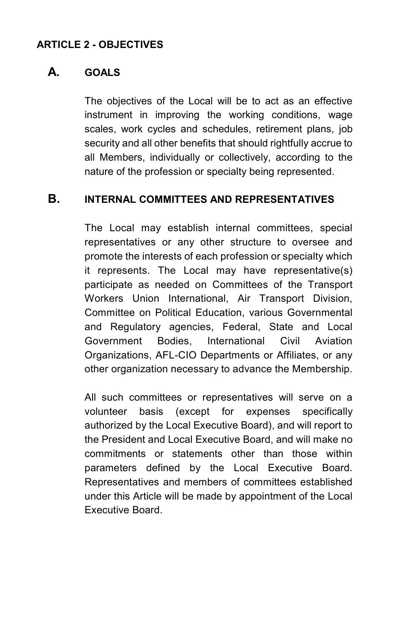#### **ARTICLE 2 - OBJECTIVES**

#### **A. GOALS**

The objectives of the Local will be to act as an effective instrument in improving the working conditions, wage scales, work cycles and schedules, retirement plans, job security and all other benefits that should rightfully accrue to all Members, individually or collectively, according to the nature of the profession or specialty being represented.

#### **B. INTERNAL COMMITTEES AND REPRESENTATIVES**

The Local may establish internal committees, special representatives or any other structure to oversee and promote the interests of each profession or specialty which it represents. The Local may have representative(s) participate as needed on Committees of the Transport Workers Union International, Air Transport Division, Committee on Political Education, various Governmental and Regulatory agencies, Federal, State and Local Government Bodies, International Civil Aviation Organizations, AFL-CIO Departments or Affiliates, or any other organization necessary to advance the Membership.

All such committees or representatives will serve on a volunteer basis (except for expenses specifically authorized by the Local Executive Board), and will report to the President and Local Executive Board, and will make no commitments or statements other than those within parameters defined by the Local Executive Board. Representatives and members of committees established under this Article will be made by appointment of the Local Executive Board.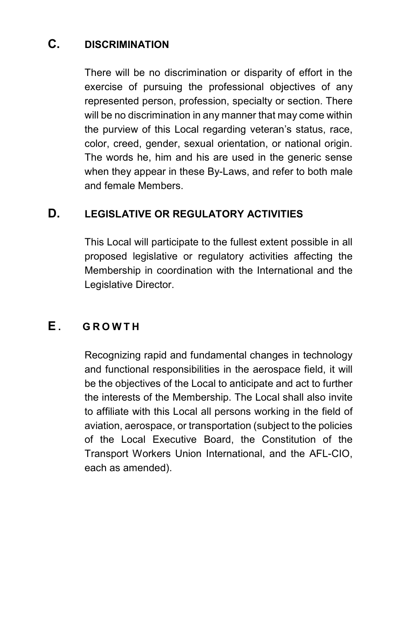### **C. DISCRIMINATION**

There will be no discrimination or disparity of effort in the exercise of pursuing the professional objectives of any represented person, profession, specialty or section. There will be no discrimination in any manner that may come within the purview of this Local regarding veteran's status, race, color, creed, gender, sexual orientation, or national origin. The words he, him and his are used in the generic sense when they appear in these By-Laws, and refer to both male and female Members.

### **D. LEGISLATIVE OR REGULATORY ACTIVITIES**

This Local will participate to the fullest extent possible in all proposed legislative or regulatory activities affecting the Membership in coordination with the International and the Legislative Director.

# **E . G R O W T H**

Recognizing rapid and fundamental changes in technology and functional responsibilities in the aerospace field, it will be the objectives of the Local to anticipate and act to further the interests of the Membership. The Local shall also invite to affiliate with this Local all persons working in the field of aviation, aerospace, or transportation (subject to the policies of the Local Executive Board, the Constitution of the Transport Workers Union International, and the AFL-CIO, each as amended).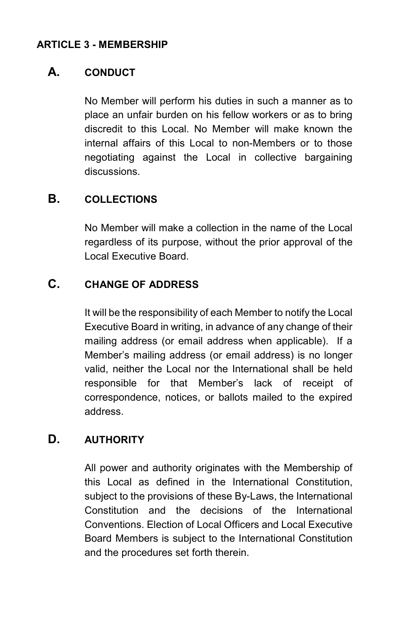#### **ARTICLE 3 - MEMBERSHIP**

#### **A. CONDUCT**

No Member will perform his duties in such a manner as to place an unfair burden on his fellow workers or as to bring discredit to this Local. No Member will make known the internal affairs of this Local to non-Members or to those negotiating against the Local in collective bargaining discussions.

#### **B. COLLECTIONS**

No Member will make a collection in the name of the Local regardless of its purpose, without the prior approval of the Local Executive Board.

#### **C. CHANGE OF ADDRESS**

It will be the responsibility of each Member to notify the Local Executive Board in writing, in advance of any change of their mailing address (or email address when applicable). If a Member's mailing address (or email address) is no longer valid, neither the Local nor the International shall be held responsible for that Member's lack of receipt of correspondence, notices, or ballots mailed to the expired address.

#### **D. AUTHORITY**

All power and authority originates with the Membership of this Local as defined in the International Constitution, subject to the provisions of these By-Laws, the International Constitution and the decisions of the International Conventions. Election of Local Officers and Local Executive Board Members is subject to the International Constitution and the procedures set forth therein.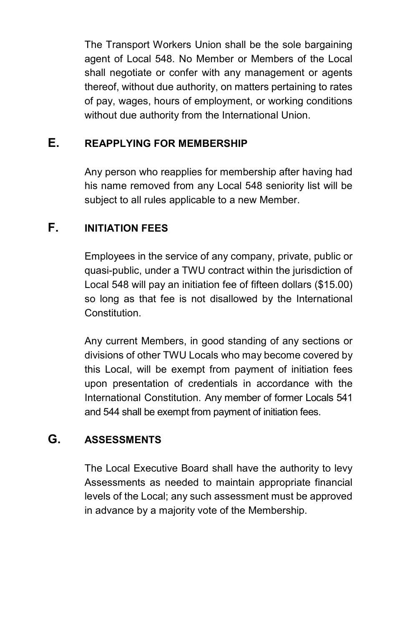The Transport Workers Union shall be the sole bargaining agent of Local 548. No Member or Members of the Local shall negotiate or confer with any management or agents thereof, without due authority, on matters pertaining to rates of pay, wages, hours of employment, or working conditions without due authority from the International Union.

# **E. REAPPLYING FOR MEMBERSHIP**

Any person who reapplies for membership after having had his name removed from any Local 548 seniority list will be subject to all rules applicable to a new Member.

# **F. INITIATION FEES**

Employees in the service of any company, private, public or quasi-public, under a TWU contract within the jurisdiction of Local 548 will pay an initiation fee of fifteen dollars (\$15.00) so long as that fee is not disallowed by the International Constitution.

Any current Members, in good standing of any sections or divisions of other TWU Locals who may become covered by this Local, will be exempt from payment of initiation fees upon presentation of credentials in accordance with the International Constitution. Any member of former Locals 541 and 544 shall be exempt from payment of initiation fees.

# **G. ASSESSMENTS**

The Local Executive Board shall have the authority to levy Assessments as needed to maintain appropriate financial levels of the Local; any such assessment must be approved in advance by a majority vote of the Membership.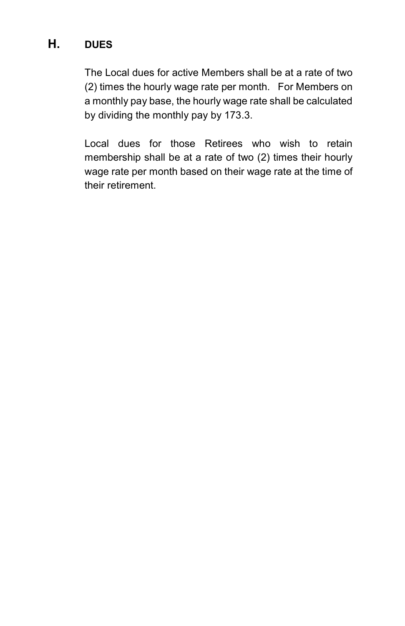# **H. DUES**

The Local dues for active Members shall be at a rate of two (2) times the hourly wage rate per month. For Members on a monthly pay base, the hourly wage rate shall be calculated by dividing the monthly pay by 173.3.

Local dues for those Retirees who wish to retain membership shall be at a rate of two (2) times their hourly wage rate per month based on their wage rate at the time of their retirement.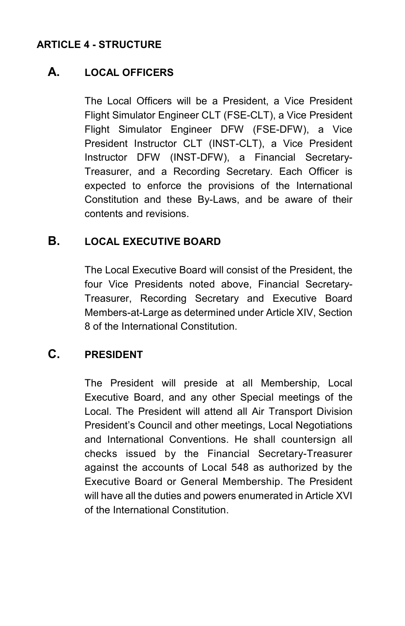#### **ARTICLE 4 - STRUCTURE**

#### **A. LOCAL OFFICERS**

The Local Officers will be a President, a Vice President Flight Simulator Engineer CLT (FSE-CLT), a Vice President Flight Simulator Engineer DFW (FSE-DFW), a Vice President Instructor CLT (INST-CLT), a Vice President Instructor DFW (INST-DFW), a Financial Secretary-Treasurer, and a Recording Secretary. Each Officer is expected to enforce the provisions of the International Constitution and these By-Laws, and be aware of their contents and revisions.

#### **B. LOCAL EXECUTIVE BOARD**

The Local Executive Board will consist of the President, the four Vice Presidents noted above, Financial Secretary-Treasurer, Recording Secretary and Executive Board Members-at-Large as determined under Article XIV, Section 8 of the International Constitution.

# **C. PRESIDENT**

The President will preside at all Membership, Local Executive Board, and any other Special meetings of the Local. The President will attend all Air Transport Division President's Council and other meetings, Local Negotiations and International Conventions. He shall countersign all checks issued by the Financial Secretary-Treasurer against the accounts of Local 548 as authorized by the Executive Board or General Membership. The President will have all the duties and powers enumerated in Article XVI of the International Constitution.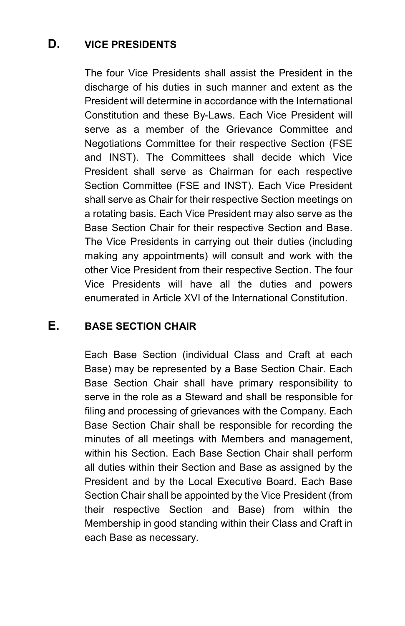# **D. VICE PRESIDENTS**

The four Vice Presidents shall assist the President in the discharge of his duties in such manner and extent as the President will determine in accordance with the International Constitution and these By-Laws. Each Vice President will serve as a member of the Grievance Committee and Negotiations Committee for their respective Section (FSE and INST). The Committees shall decide which Vice President shall serve as Chairman for each respective Section Committee (FSE and INST). Each Vice President shall serve as Chair for their respective Section meetings on a rotating basis. Each Vice President may also serve as the Base Section Chair for their respective Section and Base. The Vice Presidents in carrying out their duties (including making any appointments) will consult and work with the other Vice President from their respective Section. The four Vice Presidents will have all the duties and powers enumerated in Article XVI of the International Constitution.

# **E. BASE SECTION CHAIR**

Each Base Section (individual Class and Craft at each Base) may be represented by a Base Section Chair. Each Base Section Chair shall have primary responsibility to serve in the role as a Steward and shall be responsible for filing and processing of grievances with the Company. Each Base Section Chair shall be responsible for recording the minutes of all meetings with Members and management, within his Section. Each Base Section Chair shall perform all duties within their Section and Base as assigned by the President and by the Local Executive Board. Each Base Section Chair shall be appointed by the Vice President (from their respective Section and Base) from within the Membership in good standing within their Class and Craft in each Base as necessary.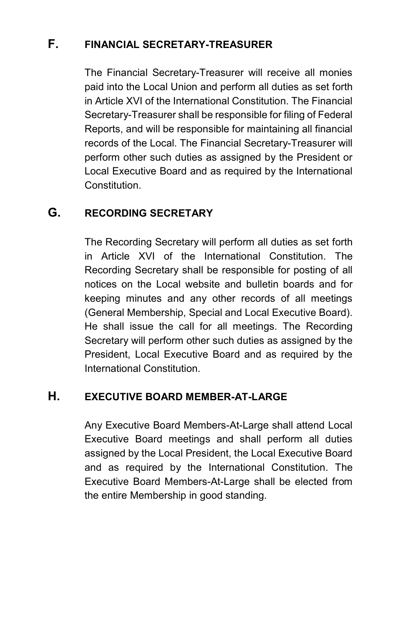# **F. FINANCIAL SECRETARY-TREASURER**

The Financial Secretary-Treasurer will receive all monies paid into the Local Union and perform all duties as set forth in Article XVI of the International Constitution. The Financial Secretary-Treasurer shall be responsible for filing of Federal Reports, and will be responsible for maintaining all financial records of the Local. The Financial Secretary-Treasurer will perform other such duties as assigned by the President or Local Executive Board and as required by the International Constitution.

# **G. RECORDING SECRETARY**

The Recording Secretary will perform all duties as set forth in Article XVI of the International Constitution. The Recording Secretary shall be responsible for posting of all notices on the Local website and bulletin boards and for keeping minutes and any other records of all meetings (General Membership, Special and Local Executive Board). He shall issue the call for all meetings. The Recording Secretary will perform other such duties as assigned by the President, Local Executive Board and as required by the International Constitution.

#### **H. EXECUTIVE BOARD MEMBER-AT-LARGE**

Any Executive Board Members-At-Large shall attend Local Executive Board meetings and shall perform all duties assigned by the Local President, the Local Executive Board and as required by the International Constitution. The Executive Board Members-At-Large shall be elected from the entire Membership in good standing.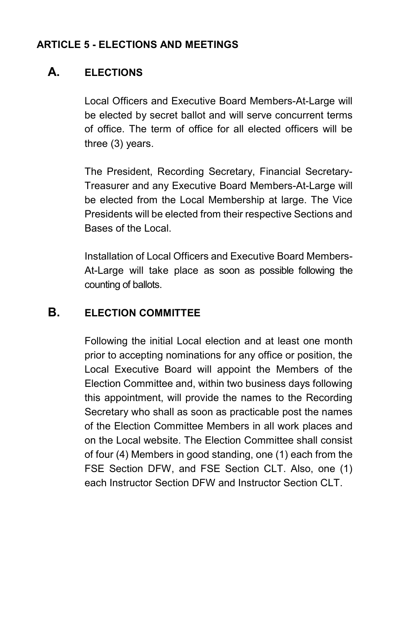#### **ARTICLE 5 - ELECTIONS AND MEETINGS**

# **A. ELECTIONS**

Local Officers and Executive Board Members-At-Large will be elected by secret ballot and will serve concurrent terms of office. The term of office for all elected officers will be three (3) years.

The President, Recording Secretary, Financial Secretary-Treasurer and any Executive Board Members-At-Large will be elected from the Local Membership at large. The Vice Presidents will be elected from their respective Sections and Bases of the Local.

Installation of Local Officers and Executive Board Members-At-Large will take place as soon as possible following the counting of ballots.

# **B. ELECTION COMMITTEE**

Following the initial Local election and at least one month prior to accepting nominations for any office or position, the Local Executive Board will appoint the Members of the Election Committee and, within two business days following this appointment, will provide the names to the Recording Secretary who shall as soon as practicable post the names of the Election Committee Members in all work places and on the Local website. The Election Committee shall consist of four (4) Members in good standing, one (1) each from the FSE Section DFW, and FSE Section CLT. Also, one (1) each Instructor Section DFW and Instructor Section CLT.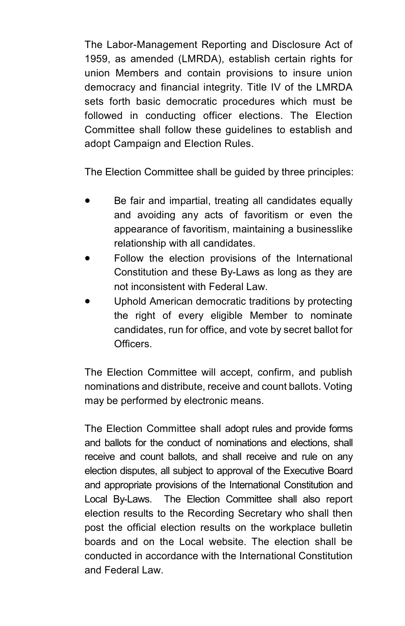The Labor-Management Reporting and Disclosure Act of 1959, as amended (LMRDA), establish certain rights for union Members and contain provisions to insure union democracy and financial integrity. Title IV of the LMRDA sets forth basic democratic procedures which must be followed in conducting officer elections. The Election Committee shall follow these guidelines to establish and adopt Campaign and Election Rules.

The Election Committee shall be guided by three principles:

- Be fair and impartial, treating all candidates equally and avoiding any acts of favoritism or even the appearance of favoritism, maintaining a businesslike relationship with all candidates.
- Follow the election provisions of the International Constitution and these By-Laws as long as they are not inconsistent with Federal Law.
- Uphold American democratic traditions by protecting the right of every eligible Member to nominate candidates, run for office, and vote by secret ballot for Officers.

The Election Committee will accept, confirm, and publish nominations and distribute, receive and count ballots. Voting may be performed by electronic means.

The Election Committee shall adopt rules and provide forms and ballots for the conduct of nominations and elections, shall receive and count ballots, and shall receive and rule on any election disputes, all subject to approval of the Executive Board and appropriate provisions of the International Constitution and Local By-Laws. The Election Committee shall also report election results to the Recording Secretary who shall then post the official election results on the workplace bulletin boards and on the Local website. The election shall be conducted in accordance with the International Constitution and Federal Law.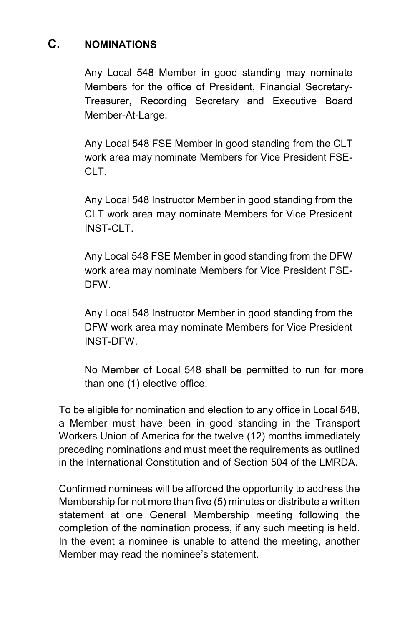# **C. NOMINATIONS**

Any Local 548 Member in good standing may nominate Members for the office of President, Financial Secretary-Treasurer, Recording Secretary and Executive Board Member-At-Large.

Any Local 548 FSE Member in good standing from the CLT work area may nominate Members for Vice President FSE-CLT.

Any Local 548 Instructor Member in good standing from the CLT work area may nominate Members for Vice President INST-CLT.

Any Local 548 FSE Member in good standing from the DFW work area may nominate Members for Vice President FSE-DFW.

Any Local 548 Instructor Member in good standing from the DFW work area may nominate Members for Vice President INST-DFW.

No Member of Local 548 shall be permitted to run for more than one (1) elective office.

To be eligible for nomination and election to any office in Local 548, a Member must have been in good standing in the Transport Workers Union of America for the twelve (12) months immediately preceding nominations and must meet the requirements as outlined in the International Constitution and of Section 504 of the LMRDA.

Confirmed nominees will be afforded the opportunity to address the Membership for not more than five (5) minutes or distribute a written statement at one General Membership meeting following the completion of the nomination process, if any such meeting is held. In the event a nominee is unable to attend the meeting, another Member may read the nominee's statement.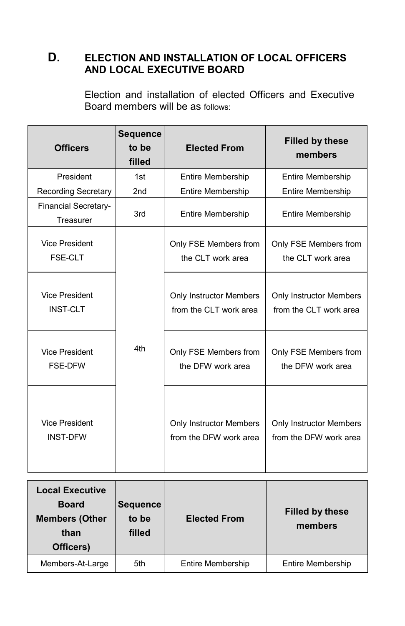# **D. ELECTION AND INSTALLATION OF LOCAL OFFICERS AND LOCAL EXECUTIVE BOARD**

Election and installation of elected Officers and Executive Board members will be as follows:

| <b>Officers</b>                          | <b>Sequence</b><br>to be<br>filled | <b>Elected From</b>                                      | <b>Filled by these</b><br>members                        |
|------------------------------------------|------------------------------------|----------------------------------------------------------|----------------------------------------------------------|
| President                                | 1st                                | <b>Entire Membership</b>                                 | <b>Entire Membership</b>                                 |
| <b>Recording Secretary</b>               | 2 <sub>nd</sub>                    | <b>Entire Membership</b>                                 | <b>Entire Membership</b>                                 |
| <b>Financial Secretary-</b><br>Treasurer | 3rd                                | <b>Entire Membership</b>                                 | <b>Entire Membership</b>                                 |
| <b>Vice President</b><br><b>FSE-CLT</b>  |                                    | Only FSE Members from<br>the CLT work area               | Only FSE Members from<br>the CLT work area               |
| <b>Vice President</b><br><b>INST-CLT</b> |                                    | <b>Only Instructor Members</b><br>from the CLT work area | <b>Only Instructor Members</b><br>from the CLT work area |
| <b>Vice President</b><br><b>FSE-DFW</b>  | 4th                                | Only FSE Members from<br>the DFW work area               | Only FSE Members from<br>the DFW work area               |
| <b>Vice President</b><br><b>INST-DFW</b> |                                    | <b>Only Instructor Members</b><br>from the DFW work area | <b>Only Instructor Members</b><br>from the DFW work area |

| <b>Local Executive</b><br><b>Board</b><br><b>Members (Other</b><br>than<br>Officers) | <b>Sequence</b><br>to be<br>filled | <b>Elected From</b> | <b>Filled by these</b><br>members |
|--------------------------------------------------------------------------------------|------------------------------------|---------------------|-----------------------------------|
| Members-At-Large                                                                     | 5th                                | Entire Membership   | <b>Entire Membership</b>          |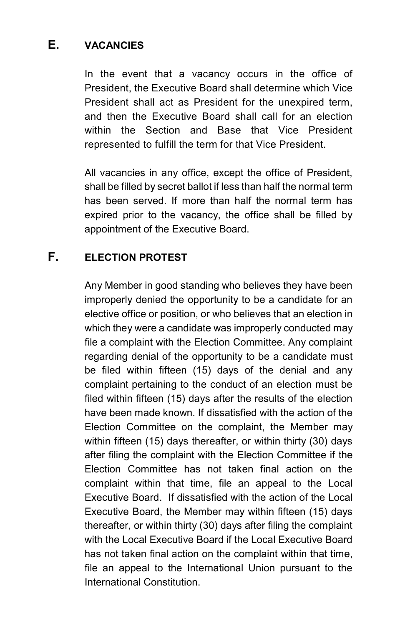# **E. VACANCIES**

In the event that a vacancy occurs in the office of President, the Executive Board shall determine which Vice President shall act as President for the unexpired term, and then the Executive Board shall call for an election within the Section and Base that Vice President represented to fulfill the term for that Vice President.

All vacancies in any office, except the office of President, shall be filled by secret ballot if less than half the normal term has been served. If more than half the normal term has expired prior to the vacancy, the office shall be filled by appointment of the Executive Board.

# **F. ELECTION PROTEST**

Any Member in good standing who believes they have been improperly denied the opportunity to be a candidate for an elective office or position, or who believes that an election in which they were a candidate was improperly conducted may file a complaint with the Election Committee. Any complaint regarding denial of the opportunity to be a candidate must be filed within fifteen (15) days of the denial and any complaint pertaining to the conduct of an election must be filed within fifteen (15) days after the results of the election have been made known. If dissatisfied with the action of the Election Committee on the complaint, the Member may within fifteen (15) days thereafter, or within thirty (30) days after filing the complaint with the Election Committee if the Election Committee has not taken final action on the complaint within that time, file an appeal to the Local Executive Board. If dissatisfied with the action of the Local Executive Board, the Member may within fifteen (15) days thereafter, or within thirty (30) days after filing the complaint with the Local Executive Board if the Local Executive Board has not taken final action on the complaint within that time, file an appeal to the International Union pursuant to the International Constitution.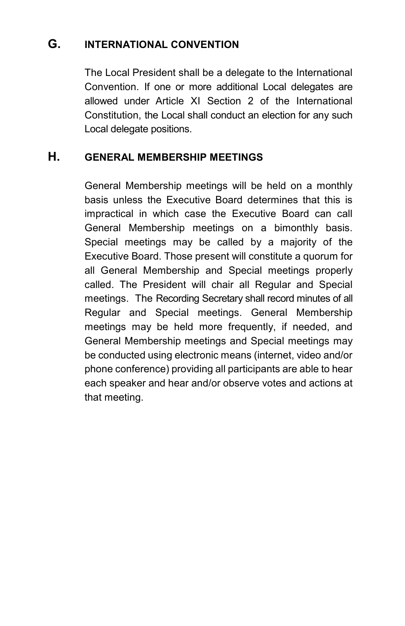#### **G. INTERNATIONAL CONVENTION**

The Local President shall be a delegate to the International Convention. If one or more additional Local delegates are allowed under Article XI Section 2 of the International Constitution, the Local shall conduct an election for any such Local delegate positions.

# **H. GENERAL MEMBERSHIP MEETINGS**

General Membership meetings will be held on a monthly basis unless the Executive Board determines that this is impractical in which case the Executive Board can call General Membership meetings on a bimonthly basis. Special meetings may be called by a majority of the Executive Board. Those present will constitute a quorum for all General Membership and Special meetings properly called. The President will chair all Regular and Special meetings. The Recording Secretary shall record minutes of all Regular and Special meetings. General Membership meetings may be held more frequently, if needed, and General Membership meetings and Special meetings may be conducted using electronic means (internet, video and/or phone conference) providing all participants are able to hear each speaker and hear and/or observe votes and actions at that meeting.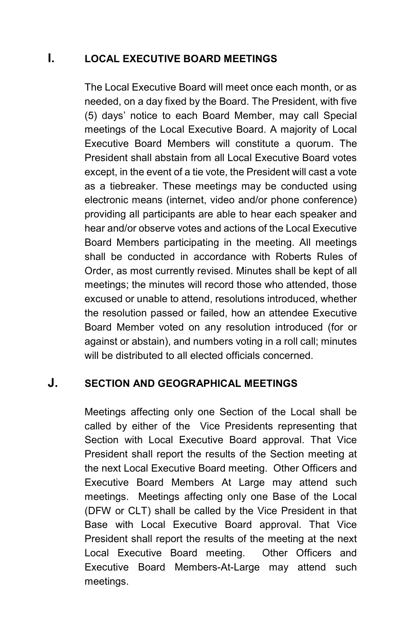# **I. LOCAL EXECUTIVE BOARD MEETINGS**

The Local Executive Board will meet once each month, or as needed, on a day fixed by the Board. The President, with five (5) days' notice to each Board Member, may call Special meetings of the Local Executive Board. A majority of Local Executive Board Members will constitute a quorum. The President shall abstain from all Local Executive Board votes except, in the event of a tie vote, the President will cast a vote as a tiebreaker. These meeting*s* may be conducted using electronic means (internet, video and/or phone conference) providing all participants are able to hear each speaker and hear and/or observe votes and actions of the Local Executive Board Members participating in the meeting. All meetings shall be conducted in accordance with Roberts Rules of Order, as most currently revised. Minutes shall be kept of all meetings; the minutes will record those who attended, those excused or unable to attend, resolutions introduced, whether the resolution passed or failed, how an attendee Executive Board Member voted on any resolution introduced (for or against or abstain), and numbers voting in a roll call; minutes will be distributed to all elected officials concerned.

# **J. SECTION AND GEOGRAPHICAL MEETINGS**

Meetings affecting only one Section of the Local shall be called by either of the Vice Presidents representing that Section with Local Executive Board approval. That Vice President shall report the results of the Section meeting at the next Local Executive Board meeting. Other Officers and Executive Board Members At Large may attend such meetings. Meetings affecting only one Base of the Local (DFW or CLT) shall be called by the Vice President in that Base with Local Executive Board approval. That Vice President shall report the results of the meeting at the next Local Executive Board meeting. Other Officers and Executive Board Members-At-Large may attend such meetings.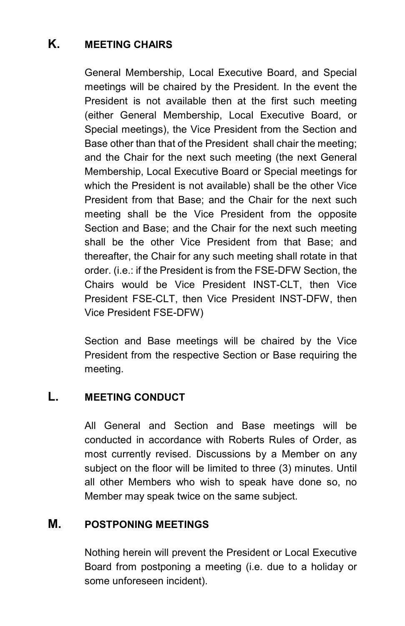# **K. MEETING CHAIRS**

General Membership, Local Executive Board, and Special meetings will be chaired by the President. In the event the President is not available then at the first such meeting (either General Membership, Local Executive Board, or Special meetings), the Vice President from the Section and Base other than that of the President shall chair the meeting; and the Chair for the next such meeting (the next General Membership, Local Executive Board or Special meetings for which the President is not available) shall be the other Vice President from that Base; and the Chair for the next such meeting shall be the Vice President from the opposite Section and Base; and the Chair for the next such meeting shall be the other Vice President from that Base; and thereafter, the Chair for any such meeting shall rotate in that order. (i.e.: if the President is from the FSE-DFW Section, the Chairs would be Vice President INST-CLT, then Vice President FSE-CLT, then Vice President INST-DFW, then Vice President FSE-DFW)

Section and Base meetings will be chaired by the Vice President from the respective Section or Base requiring the meeting.

# **L. MEETING CONDUCT**

All General and Section and Base meetings will be conducted in accordance with Roberts Rules of Order, as most currently revised. Discussions by a Member on any subject on the floor will be limited to three (3) minutes. Until all other Members who wish to speak have done so, no Member may speak twice on the same subject.

#### **M. POSTPONING MEETINGS**

Nothing herein will prevent the President or Local Executive Board from postponing a meeting (i.e. due to a holiday or some unforeseen incident).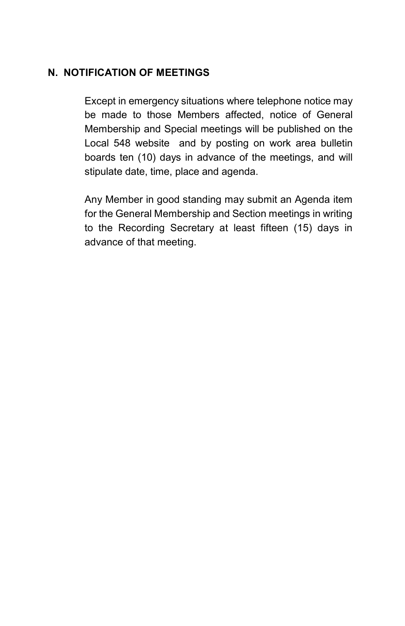#### **N. NOTIFICATION OF MEETINGS**

Except in emergency situations where telephone notice may be made to those Members affected, notice of General Membership and Special meetings will be published on the Local 548 website and by posting on work area bulletin boards ten (10) days in advance of the meetings, and will stipulate date, time, place and agenda.

Any Member in good standing may submit an Agenda item for the General Membership and Section meetings in writing to the Recording Secretary at least fifteen (15) days in advance of that meeting.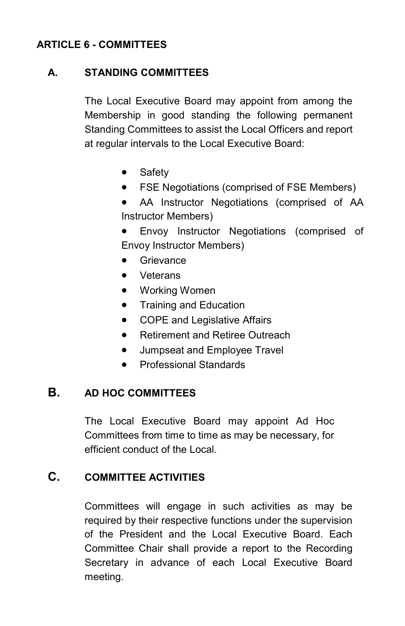#### **ARTICLE 6 - COMMITTEES**

#### **A. STANDING COMMITTEES**

The Local Executive Board may appoint from among the Membership in good standing the following permanent Standing Committees to assist the Local Officers and report at regular intervals to the Local Executive Board:

- Safety
- FSE Negotiations (comprised of FSE Members)
- AA Instructor Negotiations (comprised of AA Instructor Members)
- Envoy Instructor Negotiations (comprised of Envoy Instructor Members)
- **Grievance**
- Veterans
- Working Women
- Training and Education
- COPE and Legislative Affairs
- Retirement and Retiree Outreach
- **•** Jumpseat and Employee Travel
- Professional Standards

# **B. AD HOC COMMITTEES**

The Local Executive Board may appoint Ad Hoc Committees from time to time as may be necessary, for efficient conduct of the Local.

# **C. COMMITTEE ACTIVITIES**

Committees will engage in such activities as may be required by their respective functions under the supervision of the President and the Local Executive Board. Each Committee Chair shall provide a report to the Recording Secretary in advance of each Local Executive Board meeting.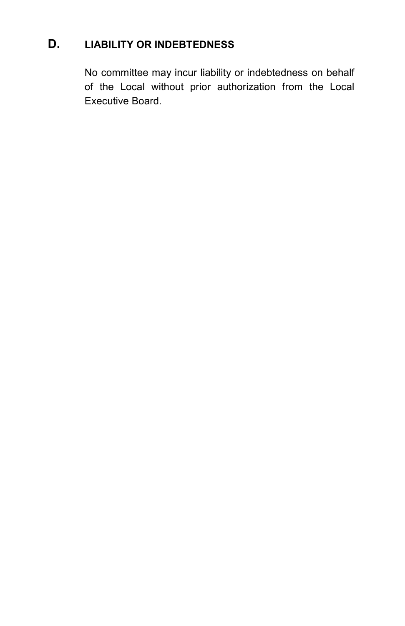# **D. LIABILITY OR INDEBTEDNESS**

No committee may incur liability or indebtedness on behalf of the Local without prior authorization from the Local Executive Board.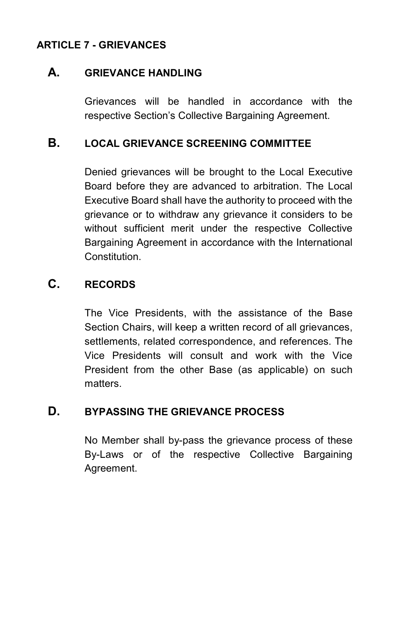# **ARTICLE 7 - GRIEVANCES**

#### **A. GRIEVANCE HANDLING**

Grievances will be handled in accordance with the respective Section's Collective Bargaining Agreement.

#### **B. LOCAL GRIEVANCE SCREENING COMMITTEE**

Denied grievances will be brought to the Local Executive Board before they are advanced to arbitration. The Local Executive Board shall have the authority to proceed with the grievance or to withdraw any grievance it considers to be without sufficient merit under the respective Collective Bargaining Agreement in accordance with the International Constitution.

#### **C. RECORDS**

The Vice Presidents, with the assistance of the Base Section Chairs, will keep a written record of all grievances, settlements, related correspondence, and references. The Vice Presidents will consult and work with the Vice President from the other Base (as applicable) on such matters.

#### **D. BYPASSING THE GRIEVANCE PROCESS**

No Member shall by-pass the grievance process of these By-Laws or of the respective Collective Bargaining Agreement.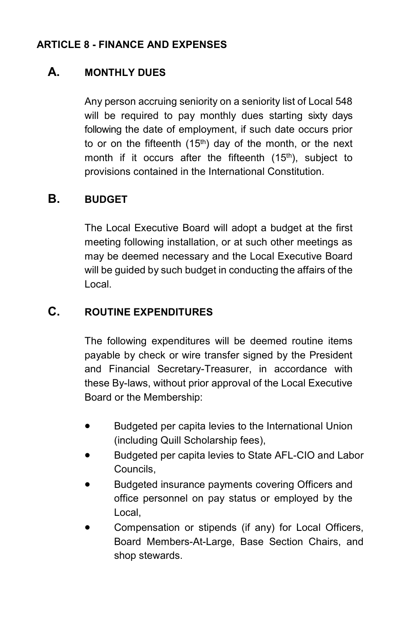#### **ARTICLE 8 - FINANCE AND EXPENSES**

# **A. MONTHLY DUES**

Any person accruing seniority on a seniority list of Local 548 will be required to pay monthly dues starting sixty days following the date of employment, if such date occurs prior to or on the fifteenth  $(15<sup>th</sup>)$  day of the month, or the next month if it occurs after the fifteenth (15<sup>th</sup>), subject to provisions contained in the International Constitution.

# **B. BUDGET**

The Local Executive Board will adopt a budget at the first meeting following installation, or at such other meetings as may be deemed necessary and the Local Executive Board will be guided by such budget in conducting the affairs of the Local.

# **C. ROUTINE EXPENDITURES**

The following expenditures will be deemed routine items payable by check or wire transfer signed by the President and Financial Secretary-Treasurer, in accordance with these By-laws, without prior approval of the Local Executive Board or the Membership:

- Budgeted per capita levies to the International Union (including Quill Scholarship fees),
- Budgeted per capita levies to State AFL-CIO and Labor Councils,
- Budgeted insurance payments covering Officers and office personnel on pay status or employed by the Local,
- Compensation or stipends (if any) for Local Officers, Board Members-At-Large, Base Section Chairs, and shop stewards.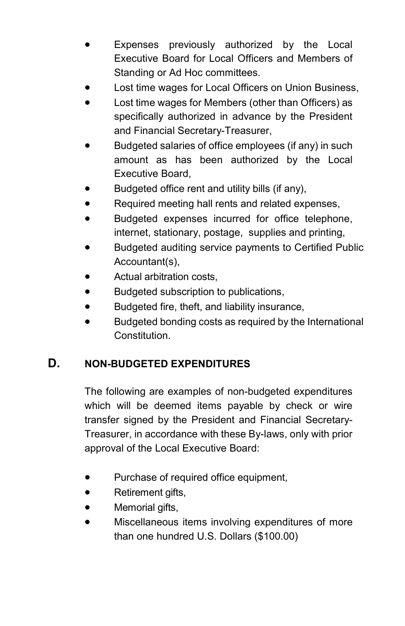- Expenses previously authorized by the Local Executive Board for Local Officers and Members of Standing or Ad Hoc committees.
- Lost time wages for Local Officers on Union Business,
- Lost time wages for Members (other than Officers) as specifically authorized in advance by the President and Financial Secretary-Treasurer,
- Budgeted salaries of office employees (if any) in such amount as has been authorized by the Local Executive Board,
- Budgeted office rent and utility bills (if any),
- Required meeting hall rents and related expenses,
- Budgeted expenses incurred for office telephone, internet, stationary, postage, supplies and printing,
- Budgeted auditing service payments to Certified Public Accountant(s),
- Actual arbitration costs,
- Budgeted subscription to publications,
- Budgeted fire, theft, and liability insurance,
- Budgeted bonding costs as required by the International Constitution.

# **D. NON-BUDGETED EXPENDITURES**

The following are examples of non-budgeted expenditures which will be deemed items payable by check or wire transfer signed by the President and Financial Secretary-Treasurer, in accordance with these By-laws, only with prior approval of the Local Executive Board:

- Purchase of required office equipment,
- Retirement gifts,
- Memorial gifts,
- Miscellaneous items involving expenditures of more than one hundred U.S. Dollars (\$100.00)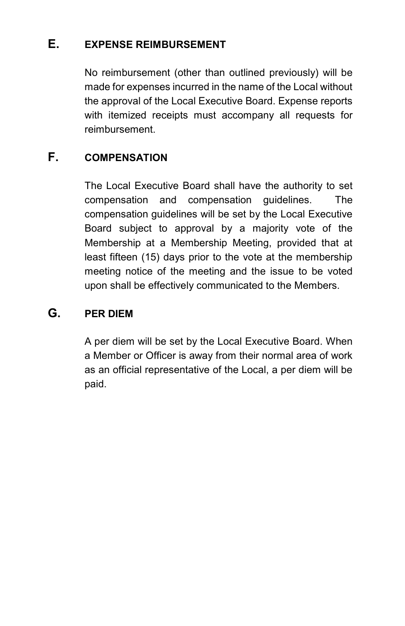#### **E. EXPENSE REIMBURSEMENT**

No reimbursement (other than outlined previously) will be made for expenses incurred in the name of the Local without the approval of the Local Executive Board. Expense reports with itemized receipts must accompany all requests for reimbursement.

# **F. COMPENSATION**

The Local Executive Board shall have the authority to set compensation and compensation guidelines. The compensation guidelines will be set by the Local Executive Board subject to approval by a majority vote of the Membership at a Membership Meeting, provided that at least fifteen (15) days prior to the vote at the membership meeting notice of the meeting and the issue to be voted upon shall be effectively communicated to the Members.

# **G. PER DIEM**

A per diem will be set by the Local Executive Board. When a Member or Officer is away from their normal area of work as an official representative of the Local, a per diem will be paid.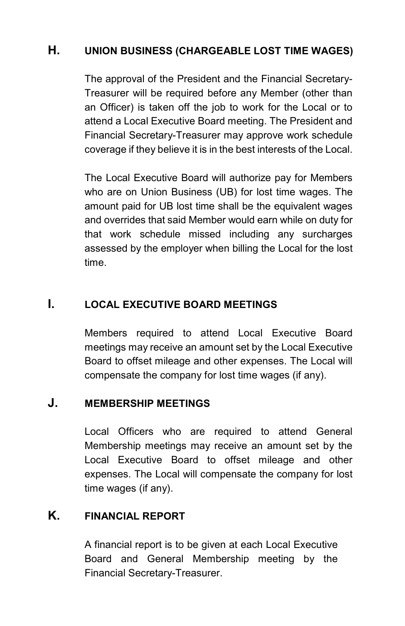# **H. UNION BUSINESS (CHARGEABLE LOST TIME WAGES)**

The approval of the President and the Financial Secretary-Treasurer will be required before any Member (other than an Officer) is taken off the job to work for the Local or to attend a Local Executive Board meeting. The President and Financial Secretary-Treasurer may approve work schedule coverage if they believe it is in the best interests of the Local.

The Local Executive Board will authorize pay for Members who are on Union Business (UB) for lost time wages. The amount paid for UB lost time shall be the equivalent wages and overrides that said Member would earn while on duty for that work schedule missed including any surcharges assessed by the employer when billing the Local for the lost time.

# **I. LOCAL EXECUTIVE BOARD MEETINGS**

Members required to attend Local Executive Board meetings may receive an amount set by the Local Executive Board to offset mileage and other expenses. The Local will compensate the company for lost time wages (if any).

#### **J. MEMBERSHIP MEETINGS**

Local Officers who are required to attend General Membership meetings may receive an amount set by the Local Executive Board to offset mileage and other expenses. The Local will compensate the company for lost time wages (if any).

# **K. FINANCIAL REPORT**

A financial report is to be given at each Local Executive Board and General Membership meeting by the Financial Secretary-Treasurer.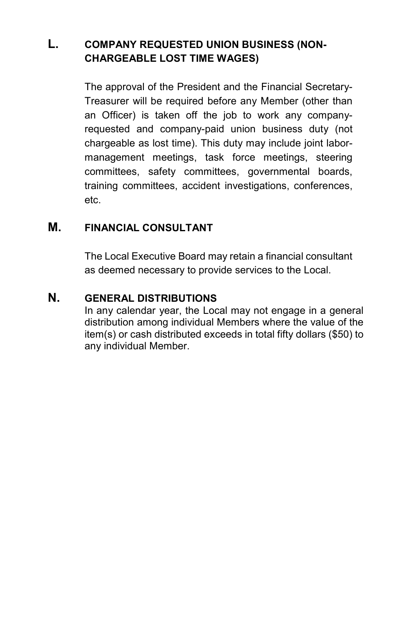# **L. COMPANY REQUESTED UNION BUSINESS (NON-CHARGEABLE LOST TIME WAGES)**

The approval of the President and the Financial Secretary-Treasurer will be required before any Member (other than an Officer) is taken off the job to work any companyrequested and company-paid union business duty (not chargeable as lost time). This duty may include joint labormanagement meetings, task force meetings, steering committees, safety committees, governmental boards, training committees, accident investigations, conferences, etc.

#### **M. FINANCIAL CONSULTANT**

The Local Executive Board may retain a financial consultant as deemed necessary to provide services to the Local.

#### **N. GENERAL DISTRIBUTIONS**

In any calendar year, the Local may not engage in a general distribution among individual Members where the value of the item(s) or cash distributed exceeds in total fifty dollars (\$50) to any individual Member.